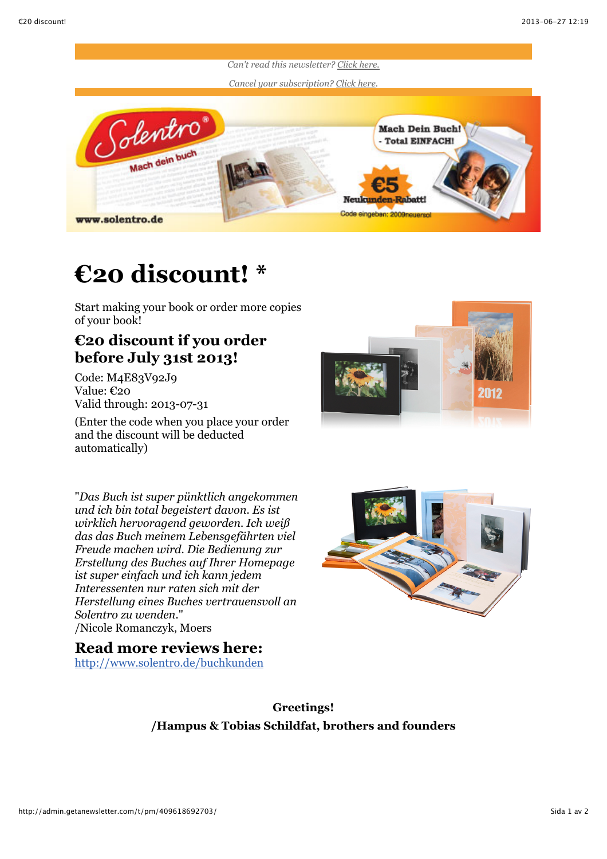

## **€20 discount! \***

Start making your book or order more copies of your book!

## **€20 discount if you order before July 31st 2013!**

Code: M4E83V92J9 Value: €20 Valid through: 2013-07-31

(Enter the code when you place your order and the discount will be deducted automatically)



"*Das Buch ist super pünktlich angekommen und ich bin total begeistert davon. Es ist wirklich hervoragend geworden. Ich weiß das das Buch meinem Lebensgefährten viel Freude machen wird. Die Bedienung zur Erstellung des Buches auf Ihrer Homepage ist super einfach und ich kann jedem Interessenten nur raten sich mit der Herstellung eines Buches vertrauensvoll an Solentro zu wenden.*" /Nicole Romanczyk, Moers

## **Read more reviews here:**

<http://www.solentro.de/buchkunden>



**Greetings! /Hampus & Tobias Schildfat, brothers and founders**